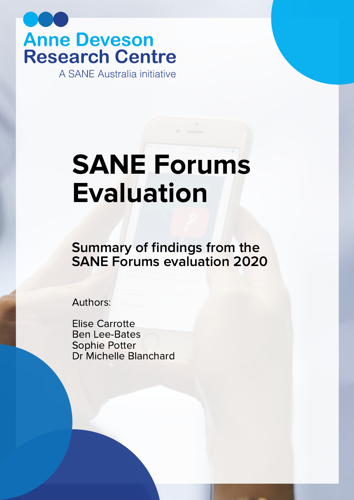**Anne Deveson Research Centre** A SANE Australia initiative

# SANE Forums Evaluation

Summary of findings from the SANE Forums evaluation 2020

Authors:

Elise Carrotte Ben Lee-Bates Sophie Potter Dr Michelle Blanchard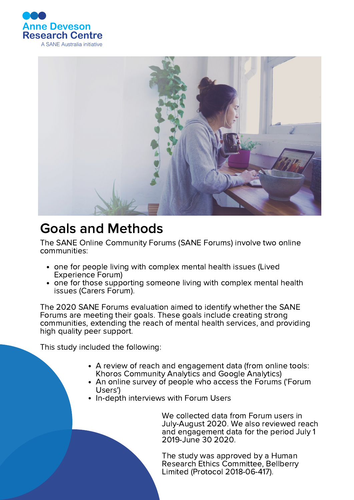



# Goals and Methods

The SANE Online Community Forums (SANE Forums) involve two online communities:

- one for people living with complex mental health issues (Lived Experience Forum)
- one for those supporting someone living with complex mental health issues (Carers Forum).

The 2020 SANE Forums evaluation aimed to identify whether the SANE Forums are meeting their goals. These goals include creating strong communities, extending the reach of mental health services, and providing high quality peer support.

This study included the following:

- A review of reach and engagement data (from online tools: Khoros Community Analytics and Google Analytics)
- An online survey of people who access the Forums ('Forum Users')
- In-depth interviews with Forum Users

We collected data from Forum users in July-August 2020. We also reviewed reach and engagement data for the period July 1 2019-June 30 2020.

The study was approved by a Human Research Ethics Committee, Bellberry Limited (Protocol 2018-06-417).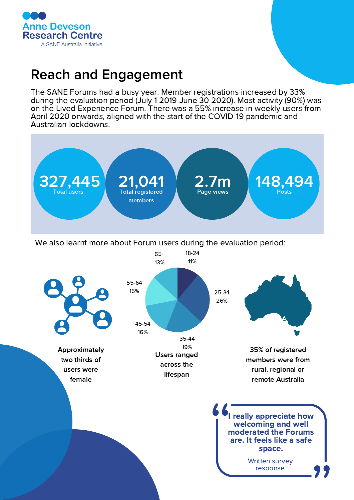

# Reach and Engagement

The SANE Forums had a busy year. Member registrations increased by 33% during the evaluation period (July 1 2019-June 30 2020). Most activity (90%) was on the Lived Experience Forum. There was a 55% increase in weekly users from April 2020 onwards, aligned with the start of the COVID-19 pandemic and Australian lockdowns.

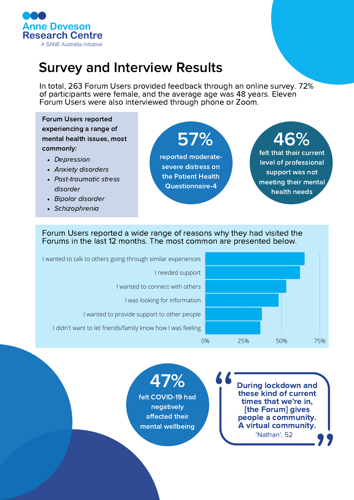

# Survey and Interview Results

In total, 263 Forum Users provided feedback through an online survey. 72% of participants were female, and the average age was 48 years. Eleven Forum Users were also interviewed through phone or Zoom.

#### Forum Users reported experiencing a range of mental health issues, most commonly:

- Depression
- Anxiety disorders
- Post-traumatic stress disorder
- Bipolar disorder
- Schizophrenia

57% 46% reported moderatesevere distress on the Patient Health

Questionnaire-4

### felt that their current

level of professional support was not meeting their mental health needs

#### Forum Users reported a wide range of reasons why they had visited the Forums in the last 12 months. The most common are presented below.



K K

47% felt COVID-19 had negatively affected their mental wellbeing

During lockdown and these kind of current times that we're in, [the Forum] gives people a community. A virtual community. 'Nathan', 52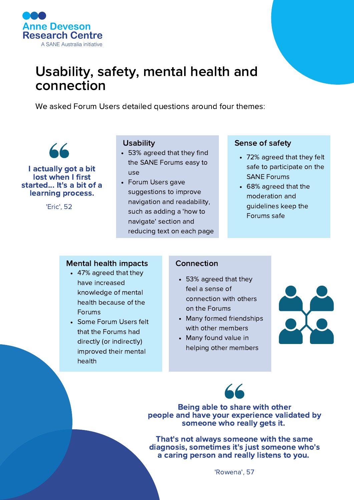

# Usability, safety, mental health and connection

We asked Forum Users detailed questions around four themes:



I actually got a bit lost when I first started... It's a bit of a learning process.

'Eric', 52

#### **Usability**

- 53% agreed that they find the SANE Forums easy to use
- Forum Users gave suggestions to improve navigation and readability, such as adding a 'how to navigate' section and reducing text on each page

#### Sense of safety

- 72% agreed that they felt safe to participate on the SANE Forums
- 68% agreed that the moderation and guidelines keep the Forums safe

#### Mental health impacts

- 47% agreed that they have increased knowledge of mental health because of the Forums
- Some Forum Users felt that the Forums had directly (or indirectly) improved their mental health

#### Connection

- 53% agreed that they feel a sense of connection with others on the Forums
- Many formed friendships with other members
- Many found value in helping other members





Being able to share with other people and have your experience validated by someone who really gets it.

That's not always someone with the same diagnosis, sometimes it's just someone who's a caring person and really listens to you.